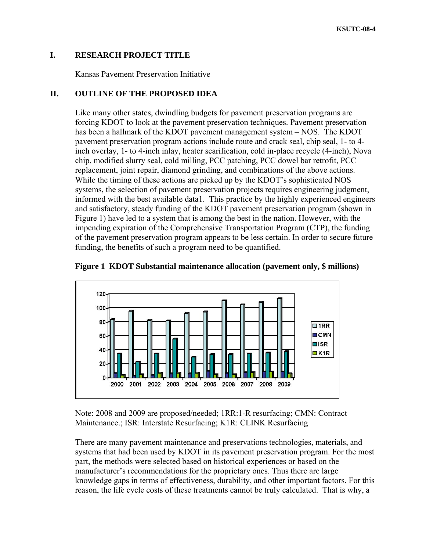## **I. RESEARCH PROJECT TITLE**

Kansas Pavement Preservation Initiative

## **II. OUTLINE OF THE PROPOSED IDEA**

Like many other states, dwindling budgets for pavement preservation programs are forcing KDOT to look at the pavement preservation techniques. Pavement preservation has been a hallmark of the KDOT pavement management system – NOS. The KDOT pavement preservation program actions include route and crack seal, chip seal, 1- to 4 inch overlay, 1- to 4-inch inlay, heater scarification, cold in-place recycle (4-inch), Nova chip, modified slurry seal, cold milling, PCC patching, PCC dowel bar retrofit, PCC replacement, joint repair, diamond grinding, and combinations of the above actions. While the timing of these actions are picked up by the KDOT's sophisticated NOS systems, the selection of pavement preservation projects requires engineering judgment, informed with the best available data1. This practice by the highly experienced engineers and satisfactory, steady funding of the KDOT pavement preservation program (shown in Figure 1) have led to a system that is among the best in the nation. However, with the impending expiration of the Comprehensive Transportation Program (CTP), the funding of the pavement preservation program appears to be less certain. In order to secure future funding, the benefits of such a program need to be quantified.





Note: 2008 and 2009 are proposed/needed; 1RR:1-R resurfacing; CMN: Contract Maintenance.; ISR: Interstate Resurfacing; K1R: CLINK Resurfacing

There are many pavement maintenance and preservations technologies, materials, and systems that had been used by KDOT in its pavement preservation program. For the most part, the methods were selected based on historical experiences or based on the manufacturer's recommendations for the proprietary ones. Thus there are large knowledge gaps in terms of effectiveness, durability, and other important factors. For this reason, the life cycle costs of these treatments cannot be truly calculated. That is why, a